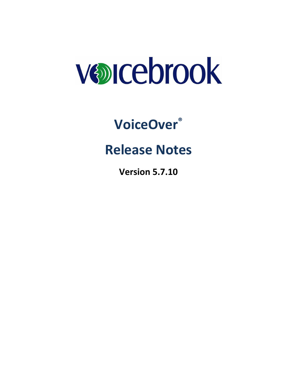

# **VoiceOver®**

## **Release Notes**

**Version 5.7.10**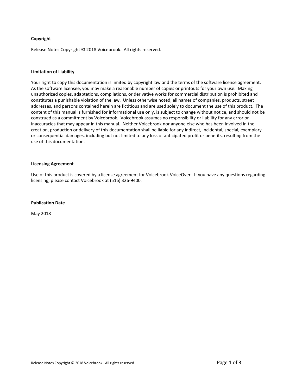#### **Copyright**

Release Notes Copyright © 2018 Voicebrook. All rights reserved.

#### **Limitation of Liability**

Your right to copy this documentation is limited by copyright law and the terms of the software license agreement. As the software licensee, you may make a reasonable number of copies or printouts for your own use. Making unauthorized copies, adaptations, compilations, or derivative works for commercial distribution is prohibited and constitutes a punishable violation of the law. Unless otherwise noted, all names of companies, products, street addresses, and persons contained herein are fictitious and are used solely to document the use of this product. The content of this manual is furnished for informational use only, is subject to change without notice, and should not be construed as a commitment by Voicebrook. Voicebrook assumes no responsibility or liability for any error or inaccuracies that may appear in this manual. Neither Voicebrook nor anyone else who has been involved in the creation, production or delivery of this documentation shall be liable for any indirect, incidental, special, exemplary or consequential damages, including but not limited to any loss of anticipated profit or benefits, resulting from the use of this documentation.

#### **Licensing Agreement**

Use of this product is covered by a license agreement for Voicebrook VoiceOver. If you have any questions regarding licensing, please contact Voicebrook at (516) 326-9400.

#### **Publication Date**

May 2018